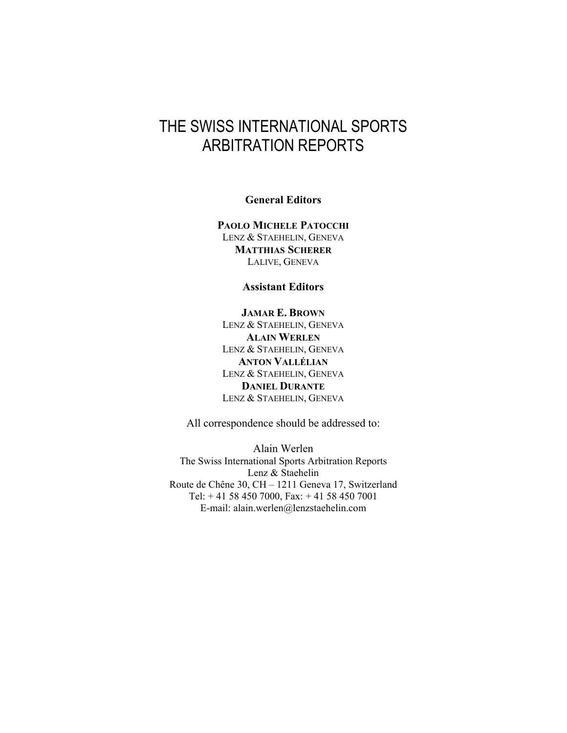## THE SWISS INTERNATIONAL SPORTS ARBITRATION REPORTS

**General Editors** 

**PAOLO MICHELE PATOCCHI** LENZ & STAEHELIN, GENEVA **MATTHIAS SCHERER** LALIVE, GENEVA

**Assistant Editors** 

**JAMAR E. BROWN** LENZ & STAEHELIN, GENEVA **ALAIN WERLEN** LENZ & STAEHELIN, GENEVA **ANTON VALLÉLIAN** LENZ & STAEHELIN, GENEVA **DANIEL DURANTE** LENZ & STAEHELIN, GENEVA

All correspondence should be addressed to:

Alain Werlen The Swiss International Sports Arbitration Reports Lenz & Staehelin Route de Chêne 30, CH – 1211 Geneva 17, Switzerland Tel: + 41 58 450 7000, Fax: + 41 58 450 7001 E-mail: alain.werlen@lenzstaehelin.com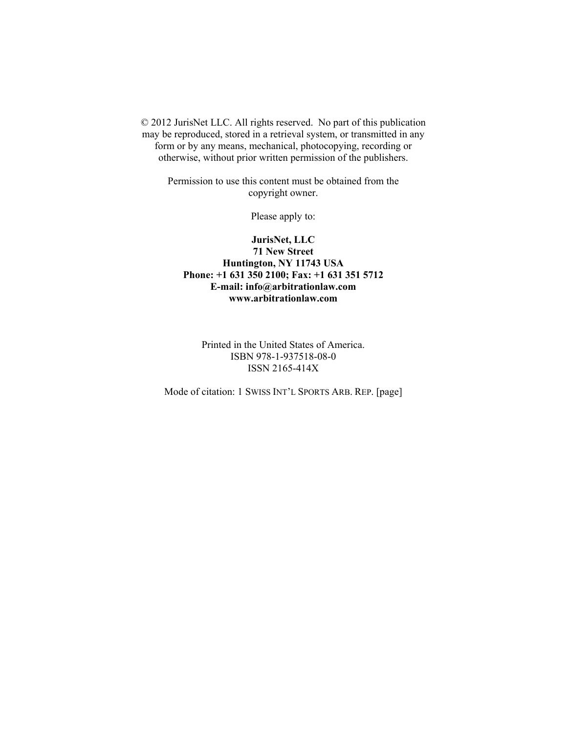© 2012 JurisNet LLC. All rights reserved. No part of this publication may be reproduced, stored in a retrieval system, or transmitted in any form or by any means, mechanical, photocopying, recording or otherwise, without prior written permission of the publishers.

Permission to use this content must be obtained from the copyright owner.

Please apply to:

**JurisNet, LLC 71 New Street Huntington, NY 11743 USA Phone: +1 631 350 2100; Fax: +1 631 351 5712 E-mail: info@arbitrationlaw.com www.arbitrationlaw.com** 

Printed in the United States of America. ISBN 978-1-937518-08-0 ISSN 2165-414X

Mode of citation: 1 SWISS INT'L SPORTS ARB. REP. [page]